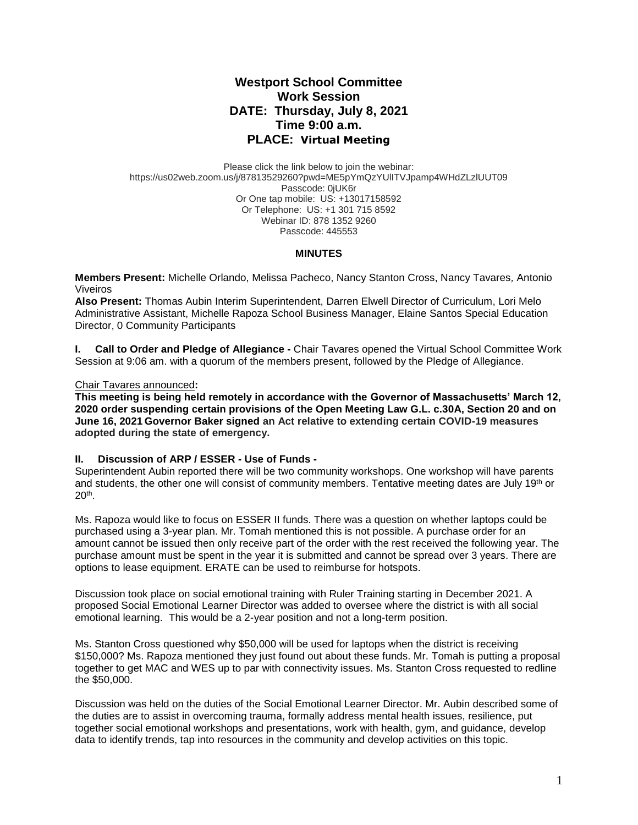# **Westport School Committee Work Session DATE: Thursday, July 8, 2021 Time 9:00 a.m. PLACE: Virtual Meeting**

Please click the link below to join the webinar: https://us02web.zoom.us/j/87813529260?pwd=ME5pYmQzYUlITVJpamp4WHdZLzlUUT09 Passcode: 0jUK6r Or One tap mobile: US: +13017158592 Or Telephone: US: +1 301 715 8592 Webinar ID: 878 1352 9260 Passcode: 445553

#### **MINUTES**

**Members Present:** Michelle Orlando, Melissa Pacheco, Nancy Stanton Cross, Nancy Tavares*,* Antonio Viveiros

**Also Present:** Thomas Aubin Interim Superintendent, Darren Elwell Director of Curriculum, Lori Melo Administrative Assistant, Michelle Rapoza School Business Manager, Elaine Santos Special Education Director, 0 Community Participants

**I. Call to Order and Pledge of Allegiance -** Chair Tavares opened the Virtual School Committee Work Session at 9:06 am. with a quorum of the members present, followed by the Pledge of Allegiance.

#### Chair Tavares announced**:**

**This meeting is being held remotely in accordance with the Governor of Massachusetts' March 12, 2020 order suspending certain provisions of the Open Meeting Law G.L. c.30A, Section 20 and on June 16, 2021 Governor Baker signed an Act relative to extending certain COVID-19 measures adopted during the state of emergency.**

#### **II. Discussion of ARP / ESSER - Use of Funds -**

Superintendent Aubin reported there will be two community workshops. One workshop will have parents and students, the other one will consist of community members. Tentative meeting dates are July 19th or 20th .

Ms. Rapoza would like to focus on ESSER II funds. There was a question on whether laptops could be purchased using a 3-year plan. Mr. Tomah mentioned this is not possible. A purchase order for an amount cannot be issued then only receive part of the order with the rest received the following year. The purchase amount must be spent in the year it is submitted and cannot be spread over 3 years. There are options to lease equipment. ERATE can be used to reimburse for hotspots.

Discussion took place on social emotional training with Ruler Training starting in December 2021. A proposed Social Emotional Learner Director was added to oversee where the district is with all social emotional learning. This would be a 2-year position and not a long-term position.

Ms. Stanton Cross questioned why \$50,000 will be used for laptops when the district is receiving \$150,000? Ms. Rapoza mentioned they just found out about these funds. Mr. Tomah is putting a proposal together to get MAC and WES up to par with connectivity issues. Ms. Stanton Cross requested to redline the \$50,000.

Discussion was held on the duties of the Social Emotional Learner Director. Mr. Aubin described some of the duties are to assist in overcoming trauma, formally address mental health issues, resilience, put together social emotional workshops and presentations, work with health, gym, and guidance, develop data to identify trends, tap into resources in the community and develop activities on this topic.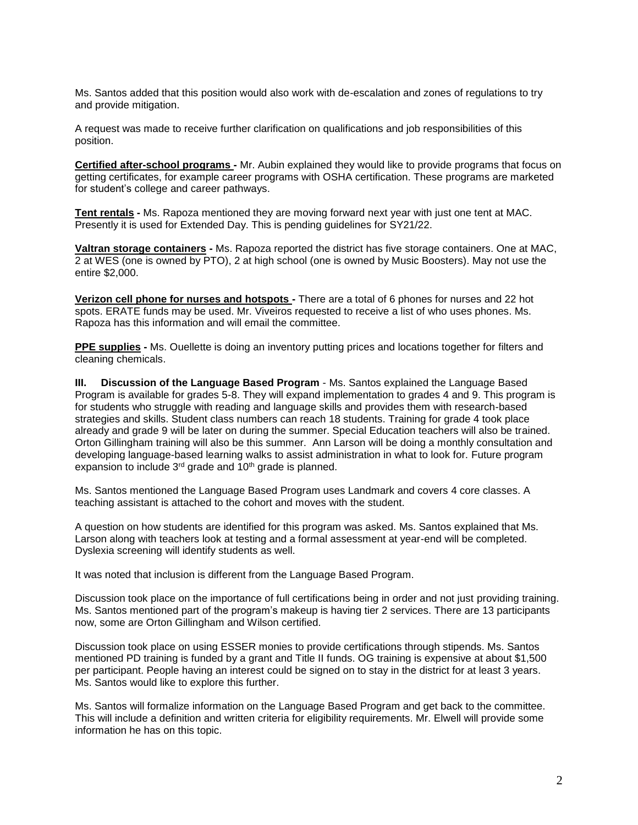Ms. Santos added that this position would also work with de-escalation and zones of regulations to try and provide mitigation.

A request was made to receive further clarification on qualifications and job responsibilities of this position.

**Certified after-school programs -** Mr. Aubin explained they would like to provide programs that focus on getting certificates, for example career programs with OSHA certification. These programs are marketed for student's college and career pathways.

**Tent rentals -** Ms. Rapoza mentioned they are moving forward next year with just one tent at MAC. Presently it is used for Extended Day. This is pending guidelines for SY21/22.

**Valtran storage containers -** Ms. Rapoza reported the district has five storage containers. One at MAC, 2 at WES (one is owned by PTO), 2 at high school (one is owned by Music Boosters). May not use the entire \$2,000.

**Verizon cell phone for nurses and hotspots -** There are a total of 6 phones for nurses and 22 hot spots. ERATE funds may be used. Mr. Viveiros requested to receive a list of who uses phones. Ms. Rapoza has this information and will email the committee.

**PPE supplies -** Ms. Ouellette is doing an inventory putting prices and locations together for filters and cleaning chemicals.

**III. Discussion of the Language Based Program** - Ms. Santos explained the Language Based Program is available for grades 5-8. They will expand implementation to grades 4 and 9. This program is for students who struggle with reading and language skills and provides them with research-based strategies and skills. Student class numbers can reach 18 students. Training for grade 4 took place already and grade 9 will be later on during the summer. Special Education teachers will also be trained. Orton Gillingham training will also be this summer. Ann Larson will be doing a monthly consultation and developing language-based learning walks to assist administration in what to look for. Future program expansion to include 3<sup>rd</sup> grade and 10<sup>th</sup> grade is planned.

Ms. Santos mentioned the Language Based Program uses Landmark and covers 4 core classes. A teaching assistant is attached to the cohort and moves with the student.

A question on how students are identified for this program was asked. Ms. Santos explained that Ms. Larson along with teachers look at testing and a formal assessment at year-end will be completed. Dyslexia screening will identify students as well.

It was noted that inclusion is different from the Language Based Program.

Discussion took place on the importance of full certifications being in order and not just providing training. Ms. Santos mentioned part of the program's makeup is having tier 2 services. There are 13 participants now, some are Orton Gillingham and Wilson certified.

Discussion took place on using ESSER monies to provide certifications through stipends. Ms. Santos mentioned PD training is funded by a grant and Title II funds. OG training is expensive at about \$1,500 per participant. People having an interest could be signed on to stay in the district for at least 3 years. Ms. Santos would like to explore this further.

Ms. Santos will formalize information on the Language Based Program and get back to the committee. This will include a definition and written criteria for eligibility requirements. Mr. Elwell will provide some information he has on this topic.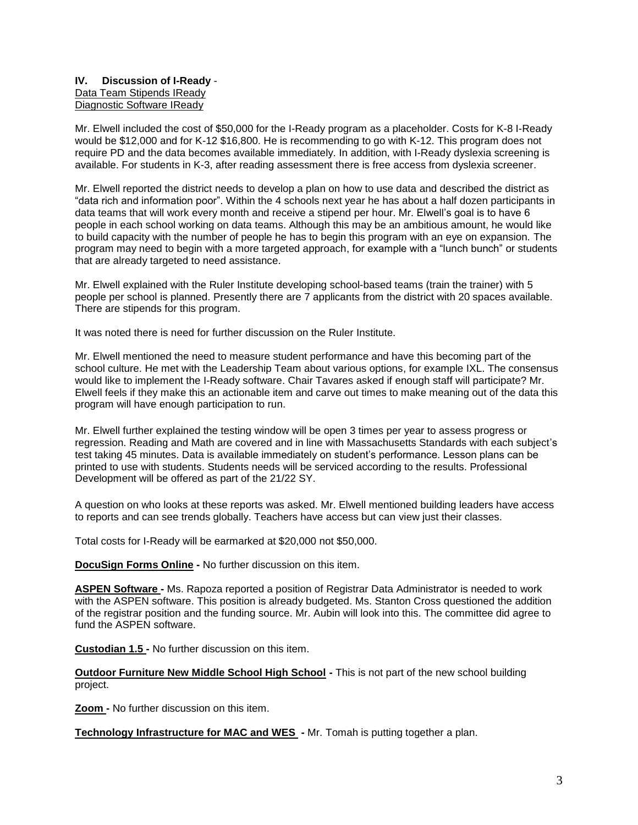### **IV. Discussion of I-Ready** - Data Team Stipends IReady Diagnostic Software IReady

Mr. Elwell included the cost of \$50,000 for the I-Ready program as a placeholder. Costs for K-8 I-Ready would be \$12,000 and for K-12 \$16,800. He is recommending to go with K-12. This program does not require PD and the data becomes available immediately. In addition, with I-Ready dyslexia screening is available. For students in K-3, after reading assessment there is free access from dyslexia screener.

Mr. Elwell reported the district needs to develop a plan on how to use data and described the district as "data rich and information poor". Within the 4 schools next year he has about a half dozen participants in data teams that will work every month and receive a stipend per hour. Mr. Elwell's goal is to have 6 people in each school working on data teams. Although this may be an ambitious amount, he would like to build capacity with the number of people he has to begin this program with an eye on expansion. The program may need to begin with a more targeted approach, for example with a "lunch bunch" or students that are already targeted to need assistance.

Mr. Elwell explained with the Ruler Institute developing school-based teams (train the trainer) with 5 people per school is planned. Presently there are 7 applicants from the district with 20 spaces available. There are stipends for this program.

It was noted there is need for further discussion on the Ruler Institute.

Mr. Elwell mentioned the need to measure student performance and have this becoming part of the school culture. He met with the Leadership Team about various options, for example IXL. The consensus would like to implement the I-Ready software. Chair Tavares asked if enough staff will participate? Mr. Elwell feels if they make this an actionable item and carve out times to make meaning out of the data this program will have enough participation to run.

Mr. Elwell further explained the testing window will be open 3 times per year to assess progress or regression. Reading and Math are covered and in line with Massachusetts Standards with each subject's test taking 45 minutes. Data is available immediately on student's performance. Lesson plans can be printed to use with students. Students needs will be serviced according to the results. Professional Development will be offered as part of the 21/22 SY.

A question on who looks at these reports was asked. Mr. Elwell mentioned building leaders have access to reports and can see trends globally. Teachers have access but can view just their classes.

Total costs for I-Ready will be earmarked at \$20,000 not \$50,000.

**DocuSign Forms Online -** No further discussion on this item.

**ASPEN Software -** Ms. Rapoza reported a position of Registrar Data Administrator is needed to work with the ASPEN software. This position is already budgeted. Ms. Stanton Cross questioned the addition of the registrar position and the funding source. Mr. Aubin will look into this. The committee did agree to fund the ASPEN software.

**Custodian 1.5 -** No further discussion on this item.

**Outdoor Furniture New Middle School High School -** This is not part of the new school building project.

**Zoom -** No further discussion on this item.

**Technology Infrastructure for MAC and WES -** Mr. Tomah is putting together a plan.